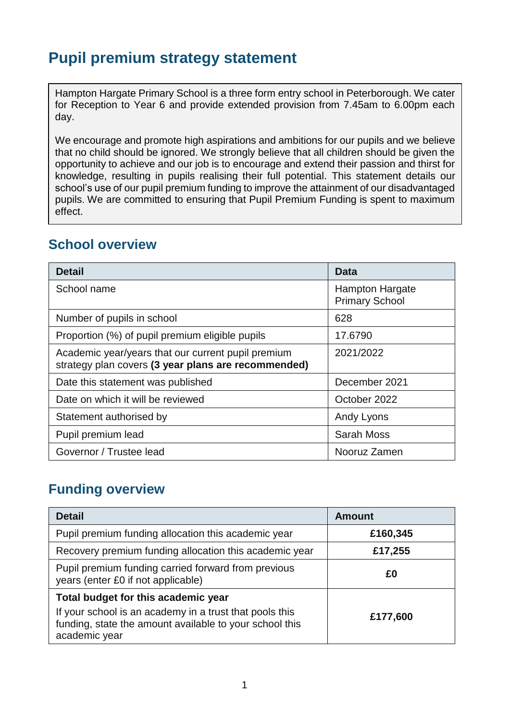# **Pupil premium strategy statement**

Hampton Hargate Primary School is a three form entry school in Peterborough. We cater for Reception to Year 6 and provide extended provision from 7.45am to 6.00pm each day.

We encourage and promote high aspirations and ambitions for our pupils and we believe that no child should be ignored. We strongly believe that all children should be given the opportunity to achieve and our job is to encourage and extend their passion and thirst for knowledge, resulting in pupils realising their full potential. This statement details our school's use of our pupil premium funding to improve the attainment of our disadvantaged pupils. We are committed to ensuring that Pupil Premium Funding is spent to maximum effect.

#### **School overview**

| <b>Detail</b>                                                                                             | Data                                            |  |
|-----------------------------------------------------------------------------------------------------------|-------------------------------------------------|--|
| School name                                                                                               | <b>Hampton Hargate</b><br><b>Primary School</b> |  |
| Number of pupils in school                                                                                | 628                                             |  |
| Proportion (%) of pupil premium eligible pupils                                                           | 17.6790                                         |  |
| Academic year/years that our current pupil premium<br>strategy plan covers (3 year plans are recommended) | 2021/2022                                       |  |
| Date this statement was published                                                                         | December 2021                                   |  |
| Date on which it will be reviewed                                                                         | October 2022                                    |  |
| Statement authorised by                                                                                   | Andy Lyons                                      |  |
| Pupil premium lead                                                                                        | <b>Sarah Moss</b>                               |  |
| Governor / Trustee lead                                                                                   | Nooruz Zamen                                    |  |

### **Funding overview**

| <b>Detail</b>                                                                                                                       | <b>Amount</b> |  |
|-------------------------------------------------------------------------------------------------------------------------------------|---------------|--|
| Pupil premium funding allocation this academic year<br>£160,345                                                                     |               |  |
| Recovery premium funding allocation this academic year                                                                              | £17,255       |  |
| Pupil premium funding carried forward from previous<br>£Ο<br>years (enter £0 if not applicable)                                     |               |  |
| Total budget for this academic year                                                                                                 |               |  |
| If your school is an academy in a trust that pools this<br>funding, state the amount available to your school this<br>academic year | £177,600      |  |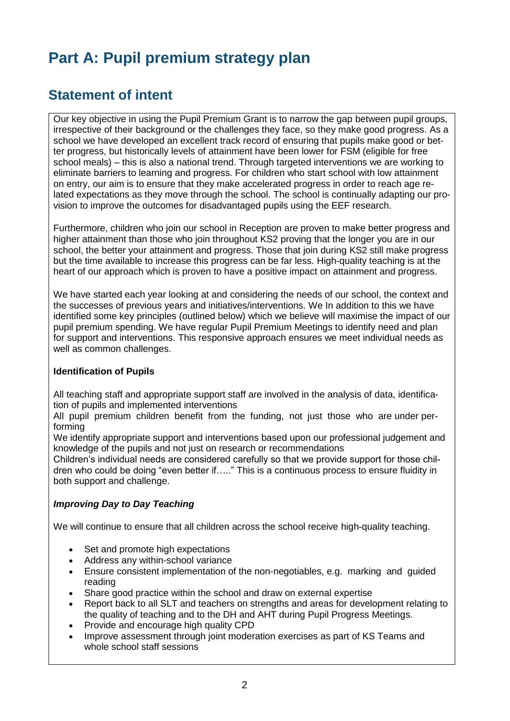# **Part A: Pupil premium strategy plan**

## **Statement of intent**

Our key objective in using the Pupil Premium Grant is to narrow the gap between pupil groups, irrespective of their background or the challenges they face, so they make good progress. As a school we have developed an excellent track record of ensuring that pupils make good or better progress, but historically levels of attainment have been lower for FSM (eligible for free school meals) – this is also a national trend. Through targeted interventions we are working to eliminate barriers to learning and progress. For children who start school with low attainment on entry, our aim is to ensure that they make accelerated progress in order to reach age related expectations as they move through the school. The school is continually adapting our provision to improve the outcomes for disadvantaged pupils using the EEF research.

Furthermore, children who join our school in Reception are proven to make better progress and higher attainment than those who join throughout KS2 proving that the longer you are in our school, the better your attainment and progress. Those that join during KS2 still make progress but the time available to increase this progress can be far less. High-quality teaching is at the heart of our approach which is proven to have a positive impact on attainment and progress.

We have started each year looking at and considering the needs of our school, the context and the successes of previous years and initiatives/interventions. We In addition to this we have identified some key principles (outlined below) which we believe will maximise the impact of our pupil premium spending. We have regular Pupil Premium Meetings to identify need and plan for support and interventions. This responsive approach ensures we meet individual needs as well as common challenges.

#### **Identification of Pupils**

All teaching staff and appropriate support staff are involved in the analysis of data, identification of pupils and implemented interventions

All pupil premium children benefit from the funding, not just those who are under performing

We identify appropriate support and interventions based upon our professional judgement and knowledge of the pupils and not just on research or recommendations

Children's individual needs are considered carefully so that we provide support for those children who could be doing "even better if….." This is a continuous process to ensure fluidity in both support and challenge.

#### *Improving Day to Day Teaching*

We will continue to ensure that all children across the school receive high-quality teaching.

- Set and promote high expectations
- Address any within-school variance
- Ensure consistent implementation of the non-negotiables, e.g. marking and guided reading
- Share good practice within the school and draw on external expertise
- Report back to all SLT and teachers on strengths and areas for development relating to the quality of teaching and to the DH and AHT during Pupil Progress Meetings.
- Provide and encourage high quality CPD
- Improve assessment through joint moderation exercises as part of KS Teams and whole school staff sessions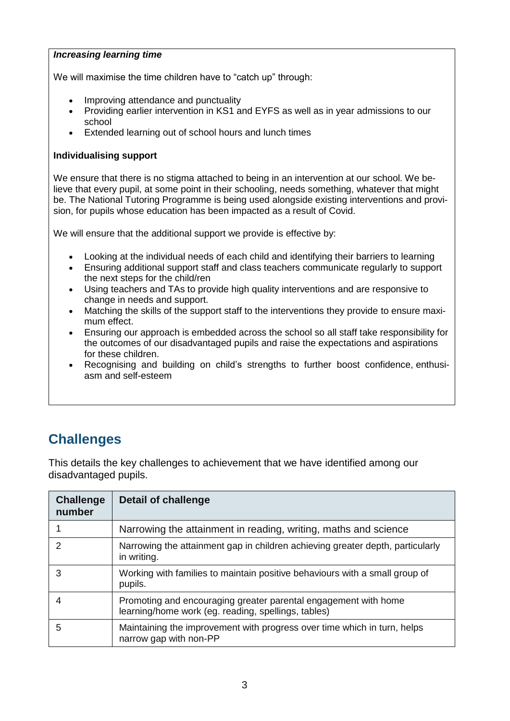#### *Increasing learning time*

We will maximise the time children have to "catch up" through:

- Improving attendance and punctuality
- Providing earlier intervention in KS1 and EYFS as well as in year admissions to our school
- Extended learning out of school hours and lunch times

#### **Individualising support**

We ensure that there is no stigma attached to being in an intervention at our school. We believe that every pupil, at some point in their schooling, needs something, whatever that might be. The National Tutoring Programme is being used alongside existing interventions and provision, for pupils whose education has been impacted as a result of Covid.

We will ensure that the additional support we provide is effective by:

- Looking at the individual needs of each child and identifying their barriers to learning
- Ensuring additional support staff and class teachers communicate regularly to support the next steps for the child/ren
- Using teachers and TAs to provide high quality interventions and are responsive to change in needs and support.
- Matching the skills of the support staff to the interventions they provide to ensure maximum effect.
- Ensuring our approach is embedded across the school so all staff take responsibility for the outcomes of our disadvantaged pupils and raise the expectations and aspirations for these children.
- Recognising and building on child's strengths to further boost confidence, enthusiasm and self-esteem

# **Challenges**

This details the key challenges to achievement that we have identified among our disadvantaged pupils.

| <b>Challenge</b><br>number | Detail of challenge                                                                                                    |
|----------------------------|------------------------------------------------------------------------------------------------------------------------|
|                            | Narrowing the attainment in reading, writing, maths and science                                                        |
| 2                          | Narrowing the attainment gap in children achieving greater depth, particularly<br>in writing.                          |
| 3                          | Working with families to maintain positive behaviours with a small group of<br>pupils.                                 |
| 4                          | Promoting and encouraging greater parental engagement with home<br>learning/home work (eg. reading, spellings, tables) |
| 5                          | Maintaining the improvement with progress over time which in turn, helps<br>narrow gap with non-PP                     |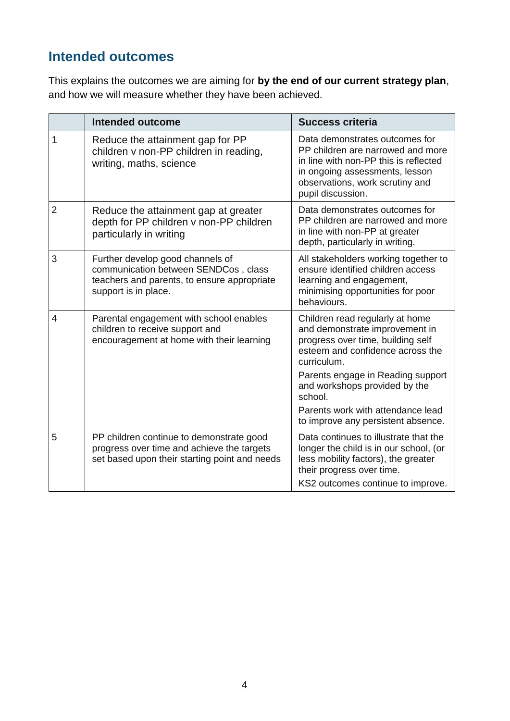# **Intended outcomes**

This explains the outcomes we are aiming for **by the end of our current strategy plan**, and how we will measure whether they have been achieved.

|                          | Intended outcome                                                                                                                                | <b>Success criteria</b>                                                                                                                                                                                |
|--------------------------|-------------------------------------------------------------------------------------------------------------------------------------------------|--------------------------------------------------------------------------------------------------------------------------------------------------------------------------------------------------------|
| 1                        | Reduce the attainment gap for PP<br>children v non-PP children in reading,<br>writing, maths, science                                           | Data demonstrates outcomes for<br>PP children are narrowed and more<br>in line with non-PP this is reflected<br>in ongoing assessments, lesson<br>observations, work scrutiny and<br>pupil discussion. |
| $\overline{2}$           | Reduce the attainment gap at greater<br>depth for PP children v non-PP children<br>particularly in writing                                      | Data demonstrates outcomes for<br>PP children are narrowed and more<br>in line with non-PP at greater<br>depth, particularly in writing.                                                               |
| 3                        | Further develop good channels of<br>communication between SENDCos, class<br>teachers and parents, to ensure appropriate<br>support is in place. | All stakeholders working together to<br>ensure identified children access<br>learning and engagement,<br>minimising opportunities for poor<br>behaviours.                                              |
| $\overline{\mathcal{L}}$ | Parental engagement with school enables<br>children to receive support and<br>encouragement at home with their learning                         | Children read regularly at home<br>and demonstrate improvement in<br>progress over time, building self<br>esteem and confidence across the<br>curriculum.                                              |
|                          |                                                                                                                                                 | Parents engage in Reading support<br>and workshops provided by the<br>school.                                                                                                                          |
|                          |                                                                                                                                                 | Parents work with attendance lead<br>to improve any persistent absence.                                                                                                                                |
| 5                        | PP children continue to demonstrate good<br>progress over time and achieve the targets<br>set based upon their starting point and needs         | Data continues to illustrate that the<br>longer the child is in our school, (or<br>less mobility factors), the greater<br>their progress over time.<br>KS2 outcomes continue to improve.               |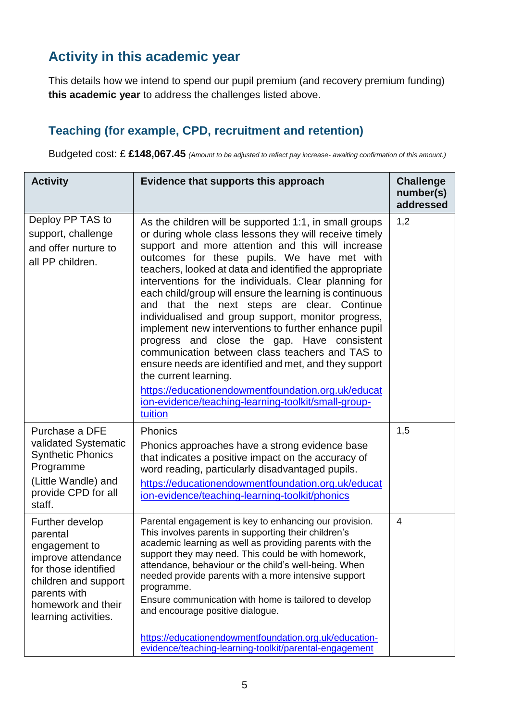# **Activity in this academic year**

This details how we intend to spend our pupil premium (and recovery premium funding) **this academic year** to address the challenges listed above.

### **Teaching (for example, CPD, recruitment and retention)**

Budgeted cost: £ **£148,067.45** *(Amount to be adjusted to reflect pay increase- awaiting confirmation of this amount.)*

| <b>Activity</b>                                                                                                                                                                  | Evidence that supports this approach                                                                                                                                                                                                                                                                                                                                                                                                                                                                                                                                                                                                                                                                                                                                                                                                                                          | <b>Challenge</b><br>number(s)<br>addressed |
|----------------------------------------------------------------------------------------------------------------------------------------------------------------------------------|-------------------------------------------------------------------------------------------------------------------------------------------------------------------------------------------------------------------------------------------------------------------------------------------------------------------------------------------------------------------------------------------------------------------------------------------------------------------------------------------------------------------------------------------------------------------------------------------------------------------------------------------------------------------------------------------------------------------------------------------------------------------------------------------------------------------------------------------------------------------------------|--------------------------------------------|
| Deploy PP TAS to<br>support, challenge<br>and offer nurture to<br>all PP children.                                                                                               | As the children will be supported 1:1, in small groups<br>or during whole class lessons they will receive timely<br>support and more attention and this will increase<br>outcomes for these pupils. We have met with<br>teachers, looked at data and identified the appropriate<br>interventions for the individuals. Clear planning for<br>each child/group will ensure the learning is continuous<br>and that the next steps are clear. Continue<br>individualised and group support, monitor progress,<br>implement new interventions to further enhance pupil<br>progress and close the gap. Have consistent<br>communication between class teachers and TAS to<br>ensure needs are identified and met, and they support<br>the current learning.<br>https://educationendowmentfoundation.org.uk/educat<br>ion-evidence/teaching-learning-toolkit/small-group-<br>tuition | 1,2                                        |
| Purchase a DFE<br>validated Systematic<br><b>Synthetic Phonics</b><br>Programme<br>(Little Wandle) and<br>provide CPD for all<br>staff.                                          | <b>Phonics</b><br>Phonics approaches have a strong evidence base<br>that indicates a positive impact on the accuracy of<br>word reading, particularly disadvantaged pupils.<br>https://educationendowmentfoundation.org.uk/educat<br>ion-evidence/teaching-learning-toolkit/phonics                                                                                                                                                                                                                                                                                                                                                                                                                                                                                                                                                                                           | 1,5                                        |
| Further develop<br>parental<br>engagement to<br>improve attendance<br>for those identified<br>children and support<br>parents with<br>homework and their<br>learning activities. | Parental engagement is key to enhancing our provision.<br>This involves parents in supporting their children's<br>academic learning as well as providing parents with the<br>support they may need. This could be with homework,<br>attendance, behaviour or the child's well-being. When<br>needed provide parents with a more intensive support<br>programme.<br>Ensure communication with home is tailored to develop<br>and encourage positive dialogue.<br>https://educationendowmentfoundation.org.uk/education-<br>evidence/teaching-learning-toolkit/parental-engagement                                                                                                                                                                                                                                                                                              | $\overline{4}$                             |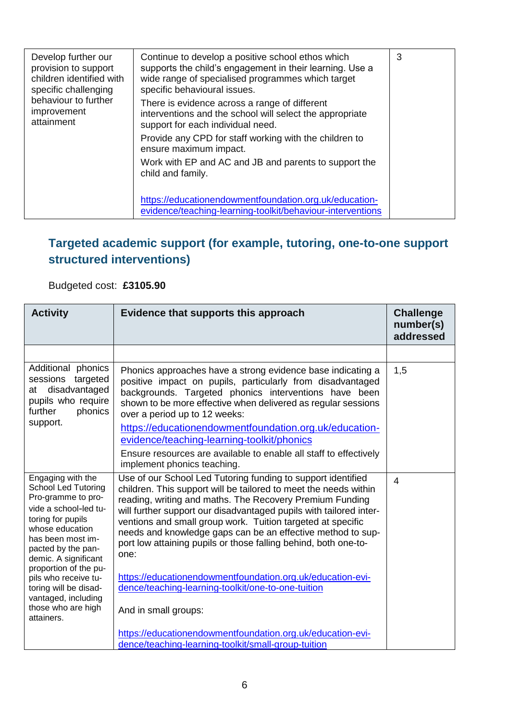| Develop further our<br>provision to support<br>children identified with<br>specific challenging<br>behaviour to further<br>improvement<br>attainment | Continue to develop a positive school ethos which<br>supports the child's engagement in their learning. Use a<br>wide range of specialised programmes which target<br>specific behavioural issues.<br>There is evidence across a range of different<br>interventions and the school will select the appropriate<br>support for each individual need. | 3 |
|------------------------------------------------------------------------------------------------------------------------------------------------------|------------------------------------------------------------------------------------------------------------------------------------------------------------------------------------------------------------------------------------------------------------------------------------------------------------------------------------------------------|---|
|                                                                                                                                                      | Provide any CPD for staff working with the children to<br>ensure maximum impact.<br>Work with EP and AC and JB and parents to support the<br>child and family.                                                                                                                                                                                       |   |
|                                                                                                                                                      | https://educationendowmentfoundation.org.uk/education-<br>evidence/teaching-learning-toolkit/behaviour-interventions                                                                                                                                                                                                                                 |   |

## **Targeted academic support (for example, tutoring, one-to-one support structured interventions)**

### Budgeted cost: **£3105.90**

| <b>Activity</b>                                                                                                                                                                                                                                                                                                                                | Evidence that supports this approach                                                                                                                                                                                                                                                                                                                                                                                                                                                                                                      | <b>Challenge</b><br>number(s)<br>addressed |
|------------------------------------------------------------------------------------------------------------------------------------------------------------------------------------------------------------------------------------------------------------------------------------------------------------------------------------------------|-------------------------------------------------------------------------------------------------------------------------------------------------------------------------------------------------------------------------------------------------------------------------------------------------------------------------------------------------------------------------------------------------------------------------------------------------------------------------------------------------------------------------------------------|--------------------------------------------|
|                                                                                                                                                                                                                                                                                                                                                |                                                                                                                                                                                                                                                                                                                                                                                                                                                                                                                                           |                                            |
| Additional phonics<br>sessions<br>targeted<br>at disadvantaged<br>pupils who require<br>further<br>phonics<br>support.                                                                                                                                                                                                                         | Phonics approaches have a strong evidence base indicating a<br>positive impact on pupils, particularly from disadvantaged<br>backgrounds. Targeted phonics interventions have been<br>shown to be more effective when delivered as regular sessions<br>over a period up to 12 weeks:                                                                                                                                                                                                                                                      | 1,5                                        |
|                                                                                                                                                                                                                                                                                                                                                | https://educationendowmentfoundation.org.uk/education-<br>evidence/teaching-learning-toolkit/phonics                                                                                                                                                                                                                                                                                                                                                                                                                                      |                                            |
|                                                                                                                                                                                                                                                                                                                                                | Ensure resources are available to enable all staff to effectively<br>implement phonics teaching.                                                                                                                                                                                                                                                                                                                                                                                                                                          |                                            |
| Engaging with the<br><b>School Led Tutoring</b><br>Pro-gramme to pro-<br>vide a school-led tu-<br>toring for pupils<br>whose education<br>has been most im-<br>pacted by the pan-<br>demic. A significant<br>proportion of the pu-<br>pils who receive tu-<br>toring will be disad-<br>vantaged, including<br>those who are high<br>attainers. | Use of our School Led Tutoring funding to support identified<br>children. This support will be tailored to meet the needs within<br>reading, writing and maths. The Recovery Premium Funding<br>will further support our disadvantaged pupils with tailored inter-<br>ventions and small group work. Tuition targeted at specific<br>needs and knowledge gaps can be an effective method to sup-<br>port low attaining pupils or those falling behind, both one-to-<br>one:<br>https://educationendowmentfoundation.org.uk/education-evi- | $\overline{\mathcal{A}}$                   |
|                                                                                                                                                                                                                                                                                                                                                | dence/teaching-learning-toolkit/one-to-one-tuition<br>And in small groups:                                                                                                                                                                                                                                                                                                                                                                                                                                                                |                                            |
|                                                                                                                                                                                                                                                                                                                                                | https://educationendowmentfoundation.org.uk/education-evi-<br>dence/teaching-learning-toolkit/small-group-tuition                                                                                                                                                                                                                                                                                                                                                                                                                         |                                            |